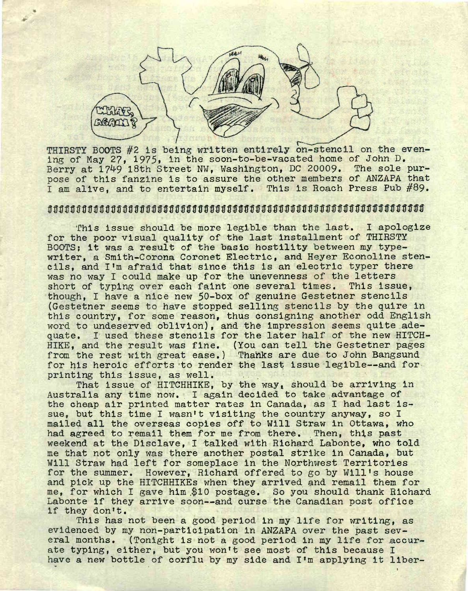

THIRSTY BOOTS #2 is being written entirely on-stencil on the even-<br>ing of May 27, 1975, in the soon-to-be-vacated home of John D. Berry at 1749 18th Street NW, Washington, DC 20009. The sole purpose of this fanzine is to assure the other members of ANZAPA that I am alive, and to entertain myself. This is Roach Press Pub #89.

# ${\tt offoffoff}$

This issue should be more legible than the last. I apologize for the poor visual quality of the last installment of THIRSTY BOOTS; it was a result of the basic hostility between my typewriter, a Smith-Corona Coronet Electric, and Heyer Econoline stencils, and I'm afraid that since this is an electric typer there was no way I could make up for the unevenness of the letters short of typing over each faint one several times. This issue, though, I have a nice new 50-box of genuine Gestetner stencils (Gestetner seems to have stopped selling stencils by the quire in this country, for some reason, thus consigning another odd English word to undeserved oblivion), and the impression seems quite adequate. I used these stencils for the later half of the new HITCH-HIKE, and the result was fine. (You can tell the Gestetner pages from the rest with great ease,) Thanks are due to John Bangsund for his heroic efforts to render the last issue legible—and for printing this issue, as well.

That issue of HITCHHIKE, by the way, should be arriving in Australia any time now.. <sup>I</sup> again decided to take advantage of the cheap air printed matter rates In Canada, as I had last issue, but this time <sup>I</sup> wasn't visiting the country anyway, so I mailed all the overseas copies off to Will Straw in Ottawa, who had agreed to remail them for me from there. Then, this past weekend at the Disclave, I talked with Richard Labonte, who told me that not only was there another postal strike in Canada, but Will Straw had left for someplace in the Northwest Territories for the summer. However, Richard offered to go by Will'<sup>s</sup> house and pick up the HITCHHIKES when they arrived and remail them for me, for which I gave him \$10 postage. So you should thank Richard Labonte if they arrive soon--and curse the Canadian post office if they don't.

This has not been a good period in my life for writing, as evidenced by my non-participation in ANZAPA over the past several months. (Tonight is not a good period in my life for accurate typing, either, but you won't see most of this because I have a new bottle of corflu by my side and I'm applying it liber-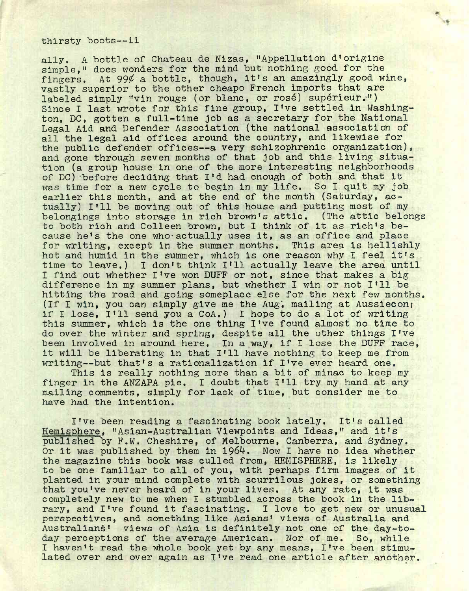#### thirsty boots—li

ally. A bottle of Chateau de Nizas, "Appellation d'origine simple," does wonders for the mind but nothing good for the fingers. At  $99\ell$  a bottle, though, it's an amazingly good wine, vastly superior to the other cheapo French imports that are labeled simply "vin rouge (or blanc, or rose) superieur.") Since <sup>I</sup> last wrote for this fine group, I've settled in Washington, DC, gotten a full-time job as a secretary for the National Legal Aid and Defender Association (the national association of all the legal aid offices around the country, and likewise for the public defender offices—<sup>a</sup> very schizophrenic organization), and gone through seven months of that job and this living situation (a group house In one of the more Interesting neighborhoods of DC) before deciding that I'd had enough of both and that it<br>was time for a new cycle to begin in my life. So I quit my job was time for a new cycle to begin in my life. earlier this month, and at the end of the month (Saturday, actually) I'll be moving out of this house and putting most of my belongings Into storage in rich brown's attic. (The attic belongs to both rich and Colleen brown, but I think of it as rich's because he's the one who-actually uses it, as an office and place for writing, except in the summer months. This area is hellishly hot and humid in the summer, which is one reason why I feel it's time to leave.) <sup>I</sup> don't think I'll actually leave the area until I find out whether I've won DUFF or not, since that makes a big difference in my summer plans, but whether I win or not I'll be hitting the road and going someplace else for the next few months. (If <sup>I</sup> win, you can simply give me the Aug', mailing at Ausslecon; if I lose, I'll send you a CoA.) I hope to do a lot of writing this summer, which is the one thing I've found almost no time to do over the winter and spring, despite all the other things I've been involved in around here. In a way, if I lose the DUFF race, it will be liberating in that I'll have nothing to keep me from writing—but that's <sup>a</sup> rationalization if I've ever heard one.

This is really nothing more than a bit of minac to keep my finger in the ANZAPA pie. I doubt that I'll try my hand at any mailing comments, simply for lack of time, but consider me to have had the intention.

I've been reading a fascinating book lately. It's called Hemisphere, "Asian-Australian Viewpoints and Ideas," and it's published by F.W. Cheshire, of Melbourne, Canberra, and Sydney. Or it was published by them in 1964. Now I have no idea whether the magazine this book was culled from, HEMISPHERE, is likely to be one familiar to all of you, with perhaps firm images of it planted in your mind complete with scurrilous jokes, or something that you've never heard of in your lives. At any rate, it was completely new to me when I stumbled across the book in the library, and I've found it fascinating. <sup>I</sup> love to get new or unusual perspectives, and something like Asians' views of Australia and Australians' views of Asia is definitely not one of the day-today perceptions of the average American. Nor of me. So, while I haven't read the whole book yet by any means, I've been stimulated over and over again as I've read one article after another.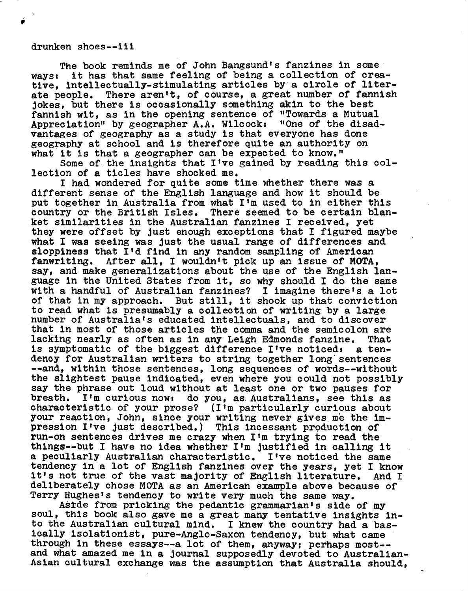## drunken shoes—ill

The book reminds me of John Bangsund's fanzines in some ways; it has that same feeling of being a collection of creative, intellectually-stimulating articles by a circle of literate people. There aren't, of course, a great number of fannish jokes, but there is occasionally something akin to the best fannish wit, as in the opening sentence of ''Towards a Mutual Appreciation" by geographer A.A. Wilcock: ''One of the disadvantages of geography as a study is that everyone has done geography at school and is therefore quite an authority on what it is that a geographer can be expected to know."

Some of the insights that I've gained by reading this collection of a ticles have shocked me.

I had wondered for quite some time whether there was a different sense of the English language and how it should be put together in Australia from what I'm used to In either this country or the British Isles. There seemed to be certain blanket similarities in the Australian fanzines I received, yet they were offset by just enough exceptions that I figured maybe what I was seeing was just the usual range of differences and sloppiness that I'd find in any random sampling of American fanwriting. After all, I wouldn't pick up an issue of MOTA, say, and make generalizations about the use of the English language in the United States from It, so why should I do the same with a handful of Australian fanzines? I imagine there's a lot of that in my approach. But still, it shook up that conviction to read what is presumably a collection of writing by a large number of Australia's educated intellectuals, and to discover that in most of those articles the comma and the semicolon are lacking nearly as often as in any Leigh Edmonds fanzine. That is symptomatic of the biggest difference I've noticed: a tendency for Australian writers to string together long sentences --and, within those sentences, long sequences of words--without the slightest pause indicated, even where you could not possibly say the phrase out loud without at least one or two pauses for breath. I'm curious now: do you, as Australians, see this as characteristic of your prose? (I'm particularly curious about your reaction, John, since your writing never gives me the impression I've just described.) This Incessant production of run-on sentences drives me crazy when I'm trying to read the things—but <sup>I</sup> have no idea whether <sup>I</sup>'<sup>m</sup> justified in calling it a peculiarly Australian characteristic. I've noticed the same tendency in a lot of English fanzines over the years, yet I know it's not true of the vast majority of English literature. And I deliberately chose MOTA as an American example above because of Terry Hughes's tendency to write very much the same way.

Aside from pricking the pedantic grammarian's side of my soul, this book also gave me a great many tentative insights into the Australian cultural mind. I knew the country had a basically isolationist, pure-Anglo-Saxon tendency, but what came through in these essays—<sup>a</sup> lot of them, anyway; perhaps most- and what amazed me in a journal supposedly devoted to Australian-Asian cultural exchange was the assumption that Australia should,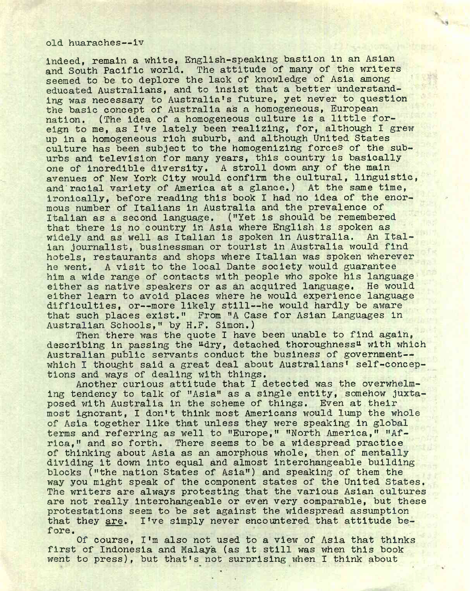#### old. huaraches—iv

indeed, remain a white, English-speaking bastion in an Asian and South Pacific world. The attitude of many of the writers seemed to be to deplore the lack of knowledge of Asia among educated Australians, and to insist that a better understanding was necessary to Australia's future, yet never to question the basic concept of Australia as a homogeneous, European nation. (The idea of a homogeneous culture is a little foreign to me, as I've lately been realizing, for, although <sup>I</sup> grew up in a homogeneous rich suburb, and although United States culture has been subject to the homogenizing forces of the suburbs and television for many years, this country is basically one of incredible diversity. A stroll down any of the main avenues of New York City would confirm the cultural, linguistic, and racial variety of America at a glance.) At the same time, ironically, before reading this book I had no idea of the enormous number of Italians in Australia and the prevalence of Italian as a second language. ("Yet is should be remembered that there is no country in Asia where English is spoken as widely and as well as Italian is spoken in Australia. An Italian journalist, businessman or tourist in Australia would find hotels, restaurants and shops where Italian was spoken wherever he went. A visit to the local Dante society would guarantee him a wide range of contacts with people who spoke his language either as native speakers or as an acquired language. He would either learn to avoid places where he would experience language difficulties, or—more likely still—he would hardly be aware that such places exist." From "A Case for Asian Languages in Australian Schools," by H.F. Simon.)

Then there was the quote I have been unable to find again, describing in passing the "dry, detached thoroughness" with which Australian public servants conduct the business of government-which I thought said a great deal about Australians' self-conceptions and ways of dealing with things.

Another curious attitude that I detected was the overwhelming tendency to talk of "Asia" as a single entity, somehow juxtaposed with Australia in the scheme of things. Even at their most ignorant, I don't think most Americans would lump the whole of Asia together like that unless they were speaking in global terms and referring as well to "Europe," "North America," "Africa," and so forth. There seems to be a widespread practice of thinking about Asia as an amorphous whole, then of mentally dividing it down into equal and almost interchangeable building blocks ("the nation States of Asia") and speaking of them the way you might speak of the component states of the United States. The writers are always protesting that the various Asian cultures are not really Interchangeable or even very comparable, but these protestations seem to be set against the widespread assumption that they are. I've simply never encountered that attitude before.

Of course, I'm also not used to a view of Asia that thinks first of Indonesia and Malaya (as It still was when this book went to press), but that's not surprising when I think about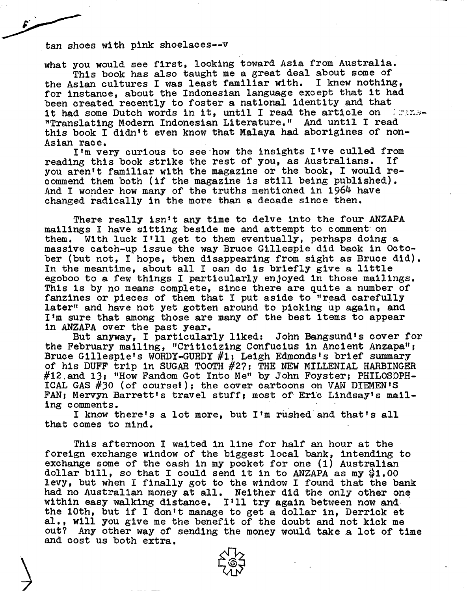tan shoes with pink shoelaces--v

what you would see first, looking toward Asia from Australia.

This book has also taught me a great deal about some of the Asian cultures I was least familiar with. I knew nothing, for instance, about the Indonesian language except that it had been created recently to foster a national identity and that it had some Dutch words in it, until I read the article on the man-"Translating Modern Indonesian Literature." And until I read this book I didn't even know that Malaya had aborigines of non-Asian race.

I'm very curious to see how the insights I've culled from<br>ng this book strike the rest of you, as Australians. If reading this book strike the rest of you, as Australians. you aren't familiar with the magazine or the book, I would recommend them both (if the magazine is still being published). And I wonder how many of the truths mentioned in  $1964$  have changed radically in the more than a decade since then.

There really isn't any time to delve into the four ANZAPA mailings I have sitting beside me and attempt to comment' on them. With luck I'll get to them eventually, perhaps doing a massive catch-up issue the way Bruce Gillespie did back in October (but not, I hope, then disappearing from sight as Bruce did). In the meantime, about all I can do is briefly give a little egoboo to a few things I particularly enjoyed in those mailings. This is by no means complete, since there are quite a number of fanzines or pieces of them that I put aside to "read carefully later" and have not yet gotten around to picking up again, and I'm sure that among those are many of the best items to appear In ANZAPA over the past year.

But anyway, I particularly liked: John Bangsund's cover for the February mailing, "Criticizing Confucius in Ancient Anzapa"; Bruce Gillespie's WORDY-GURDY #1} Leigh Edmonds's brief summary of his DUFF trip in SUGAR TOOTH #27; THE NEW MILLENIAL HARBINGER #12.and 13; "How Fandom Got Into Me" by John Foyster; PHILOSOPH-ICAL GAS #30 (of course!); the cover cartoons on VAN DIEMEN'S FAN; Mervyn Barrett's travel stuff; most of Eric Lindsay's mailing comments.

<sup>I</sup> know there'<sup>s</sup> a lot more, but I'm rushed and that'<sup>s</sup> all that comes to mind.

This afternoon I waited in line for half an hour at the foreign exchange window of the biggest local bank, intending to exchange some of the cash in my pocket for one (1) Australian dollar bill, so that I could send it in to ANZAPA as my  $$1.00$ levy, but when I finally got to the window I found that the bank had no Australian money at all. Neither did the only other one within easy walking distance. I'll try again between now and the 10th, but if I don't manage to get a dollar in, Derrick et al,, will you give me the benefit of the doubt and not kick me out? Any other way of sending the money would take a lot of time and cost us both extra.